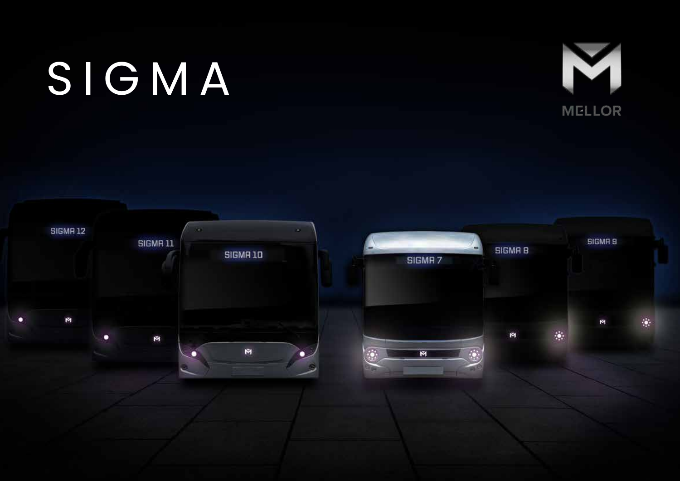# SIGMA



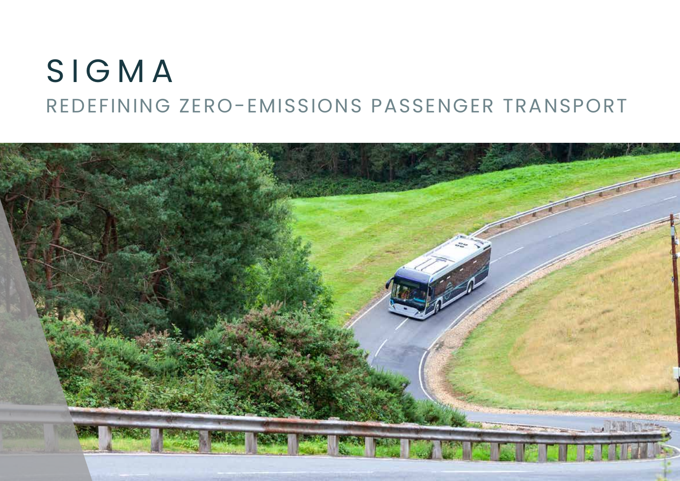#### SIGMA REDEFINING ZERO-EMISSIONS PASSENGER TRANSPORT

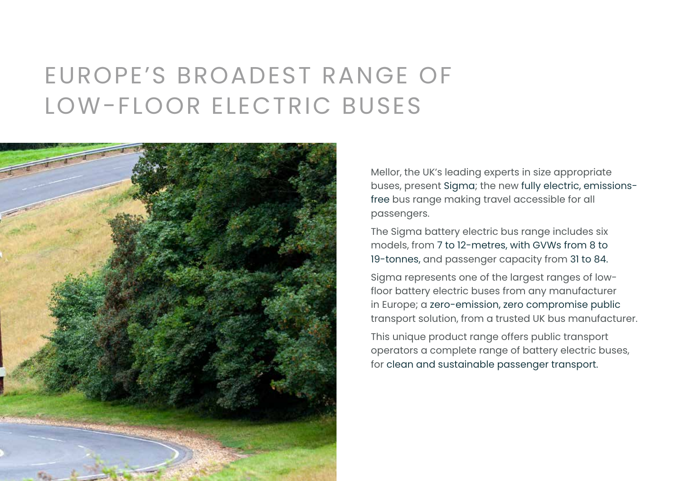#### EUROPE'S BROADEST RANGE OF LOW-FLOOR ELECTRIC BUSES



Mellor, the UK's leading experts in size appropriate buses, present Sigma; the new fully electric, emissionsfree bus range making travel accessible for all passengers.

The Sigma battery electric bus range includes six models, from 7 to 12-metres, with GVWs from 8 to 19-tonnes, and passenger capacity from 31 to 84.

Sigma represents one of the largest ranges of lowfloor battery electric buses from any manufacturer in Europe; a zero-emission, zero compromise public transport solution, from a trusted UK bus manufacturer.

This unique product range offers public transport operators a complete range of battery electric buses, for clean and sustainable passenger transport.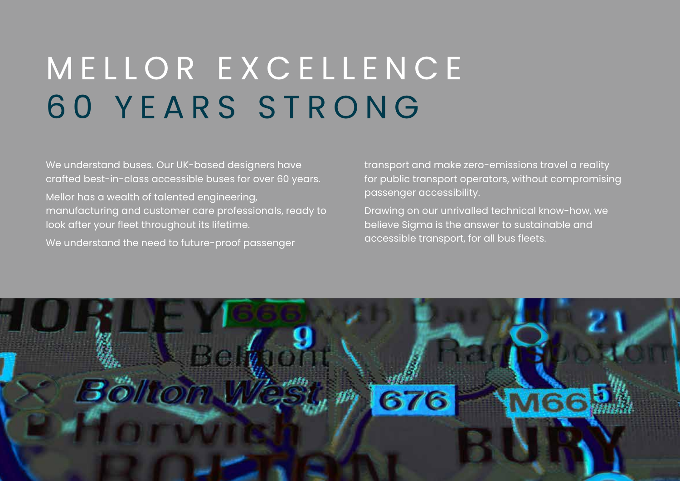### MELLOR EXCELLENCE 60 YEARS STRONG

We understand buses. Our UK-based designers have crafted best-in-class accessible buses for over 60 years.

Mellor has a wealth of talented engineering, manufacturing and customer care professionals, ready to look after your fleet throughout its lifetime.

We understand the need to future-proof passenger

transport and make zero-emissions travel a reality for public transport operators, without compromising passenger accessibility.

Drawing on our unrivalled technical know-how, we believe Sigma is the answer to sustainable and accessible transport, for all bus fleets.

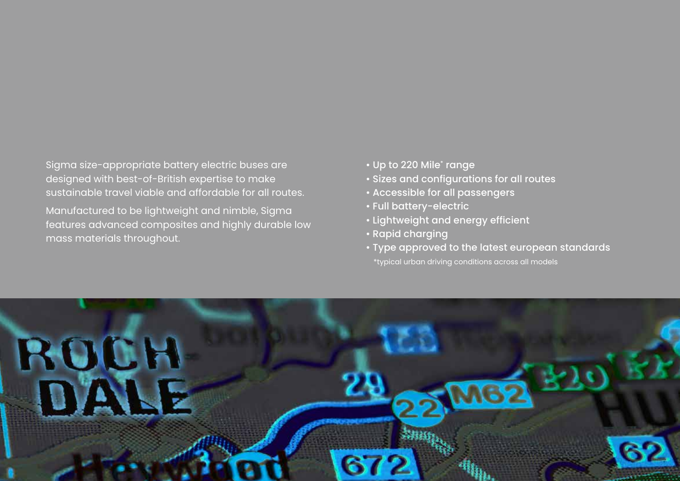Sigma size-appropriate battery electric buses are designed with best-of-British expertise to make sustainable travel viable and affordable for all routes.

Manufactured to be lightweight and nimble, Sigma features advanced composites and highly durable low mass materials throughout.

- $\bm{\cdot}$  Up to 220 Mile $\hat{\ }$  range
- Sizes and configurations for all routes
- Accessible for all passengers
- Full battery-electric
- Lightweight and energy efficient
- Rapid charging
- Type approved to the latest european standards \*typical urban driving conditions across all models

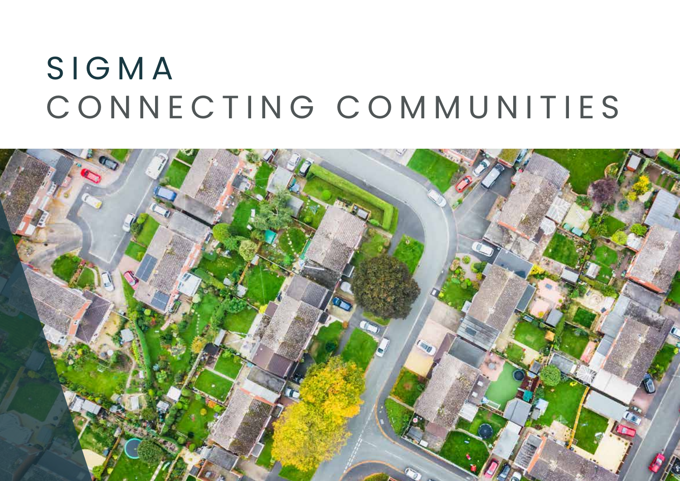#### SIGMA C O N N E C T I N G C O M M U N I T I E S

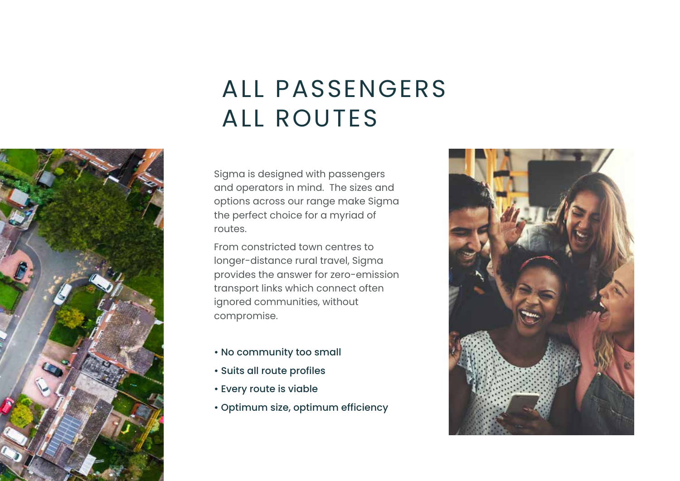#### ALL PASSENGERS ALL ROUTES

Sigma is designed with passengers and operators in mind. The sizes and options across our range make Sigma the perfect choice for a myriad of routes.

From constricted town centres to longer-distance rural travel, Sigma provides the answer for zero-emission transport links which connect often ignored communities, without compromise.

- No community too small
- Suits all route profiles
- Every route is viable
- Optimum size, optimum efficiency



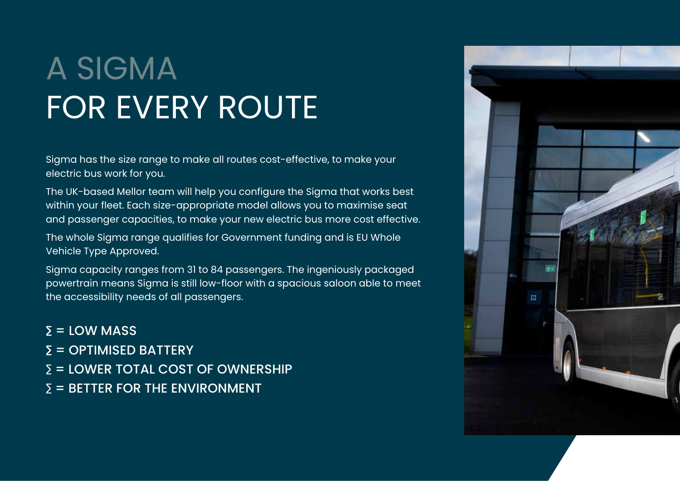## A SIGMA FOR EVERY ROUTE

Sigma has the size range to make all routes cost-effective, to make your electric bus work for you.

The UK-based Mellor team will help you configure the Sigma that works best within your fleet. Each size-appropriate model allows you to maximise seat and passenger capacities, to make your new electric bus more cost effective.

The whole Sigma range qualifies for Government funding and is EU Whole Vehicle Type Approved.

Sigma capacity ranges from 31 to 84 passengers. The ingeniously packaged powertrain means Sigma is still low-floor with a spacious saloon able to meet the accessibility needs of all passengers.

 $\Sigma =$  LOW MASS  $\Sigma$  = OPTIMISED BATTERY  $\Sigma$  = LOWER TOTAL COST OF OWNERSHIP  $\Sigma$  = BETTER FOR THE ENVIRONMENT

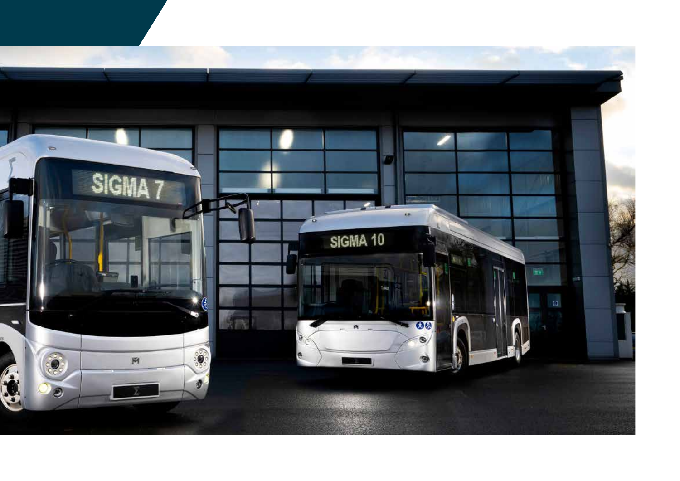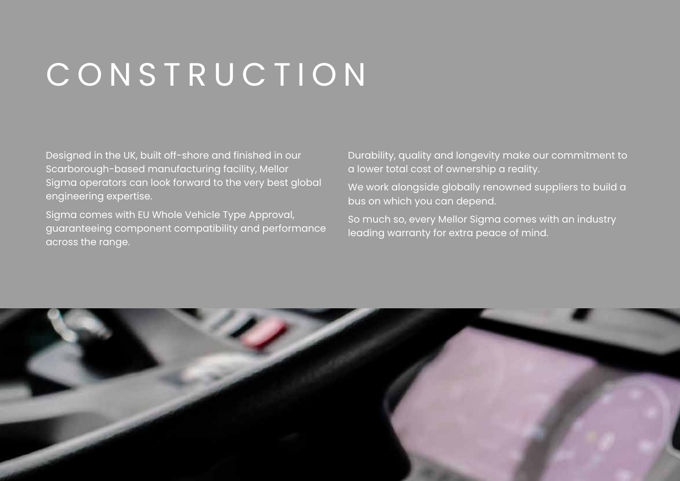#### CONSTRUCTION

Designed in the UK, built off-shore and finished in our Scarborough-based manufacturing facility, Mellor Sigma operators can look forward to the very best global engineering expertise.

Sigma comes with EU Whole Vehicle Type Approval, guaranteeing component compatibility and performance across the range.

Durability, quality and longevity make our commitment to a lower total cost of ownership a reality.

We work alongside globally renowned suppliers to build a bus on which you can depend.

So much so, every Mellor Sigma comes with an industry leading warranty for extra peace of mind.

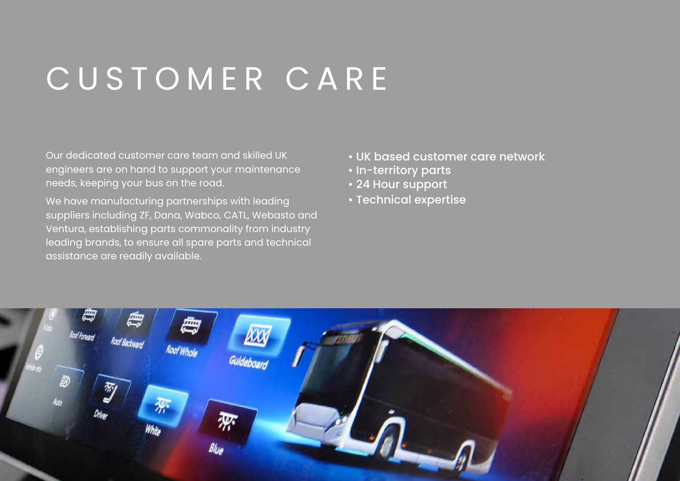#### CUSTOMER CARE

Our dedicated customer care team and skilled UK engineers are on hand to support your maintenance needs, keeping your bus on the road.

We have manufacturing partnerships with leading suppliers including ZF, Dana, Wabco, CATL, Webasto and Ventura, establishing parts commonality from industry leading brands, to ensure all spare parts and technical assistance are readily available.

- UK based customer care network
- In-territory parts
- 24 Hour support
- Technical expertise

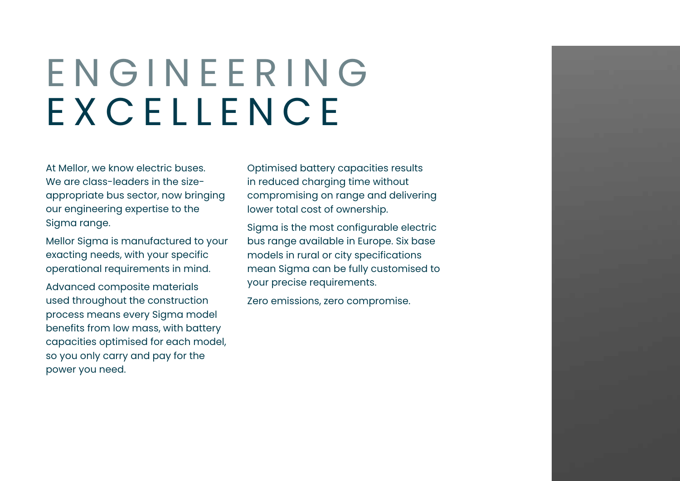## ENGINEERING EXCELLENCE

At Mellor, we know electric buses. We are class-leaders in the sizeappropriate bus sector, now bringing our engineering expertise to the Sigma range.

Mellor Sigma is manufactured to your exacting needs, with your specific operational requirements in mind.

Advanced composite materials used throughout the construction process means every Sigma model benefits from low mass, with battery capacities optimised for each model, so you only carry and pay for the power you need.

Optimised battery capacities results in reduced charging time without compromising on range and delivering lower total cost of ownership.

Sigma is the most configurable electric bus range available in Europe. Six base models in rural or city specifications mean Sigma can be fully customised to your precise requirements.

Zero emissions, zero compromise.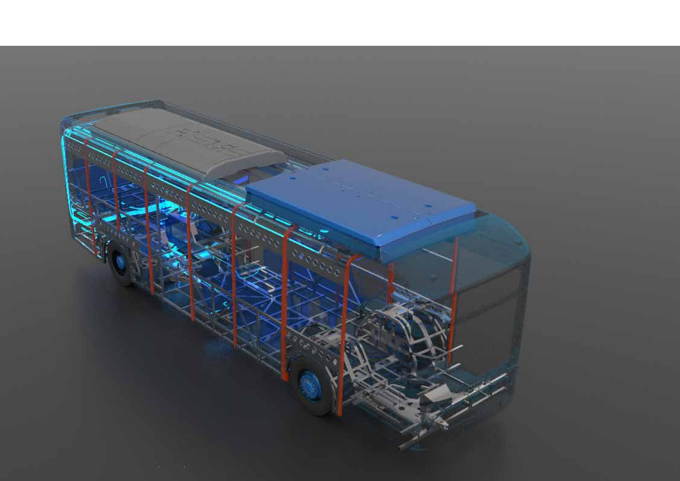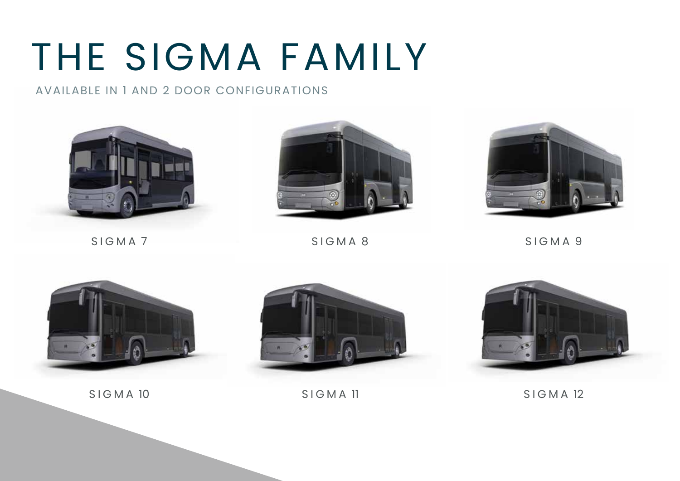## THE SIGMA FAMILY

#### AVAILABLE IN 1 AND 2 DOOR CONFIGURATIONS





SIGMA / SIGMA 8 SIGMA 9





S I G M A 10 S I G M A 11 S I G M A 12



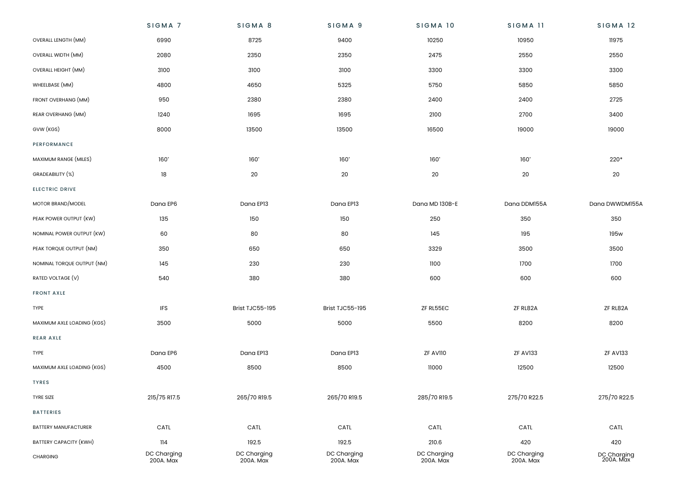|                            | SIGMA <sub>7</sub>       | SIGMA 8                  | SIGMA 9                  | SIGMA 10                 | SIGMA <sub>11</sub>      | SIGMA 12                 |
|----------------------------|--------------------------|--------------------------|--------------------------|--------------------------|--------------------------|--------------------------|
| OVERALL LENGTH (MM)        | 6990                     | 8725                     | 9400                     | 10250                    | 10950                    | 11975                    |
| OVERALL WIDTH (MM)         | 2080                     | 2350                     | 2350                     | 2475                     | 2550                     | 2550                     |
| <b>OVERALL HEIGHT (MM)</b> | 3100                     | 3100                     | 3100                     | 3300                     | 3300                     | 3300                     |
| WHEELBASE (MM)             | 4800                     | 4650                     | 5325                     | 5750                     | 5850                     | 5850                     |
| FRONT OVERHANG (MM)        | 950                      | 2380                     | 2380                     | 2400                     | 2400                     | 2725                     |
| REAR OVERHANG (MM)         | 1240                     | 1695                     | 1695                     | 2100                     | 2700                     | 3400                     |
| GVW (KGS)                  | 8000                     | 13500                    | 13500                    | 16500                    | 19000                    | 19000                    |
| PERFORMANCE                |                          |                          |                          |                          |                          |                          |
| MAXIMUM RANGE (MILES)      | 160"                     | $160^{\circ}$            | $160^{\circ}$            | $160^\circ$              | $160^{\circ}$            | 220*                     |
| GRADEABILITY (%)           | 18                       | 20                       | 20                       | 20                       | 20                       | 20                       |
| <b>ELECTRIC DRIVE</b>      |                          |                          |                          |                          |                          |                          |
| MOTOR BRAND/MODEL          | Dana EP6                 | Dana EP13                | Dana EP13                | Dana MD 130B-E           | Dana DDM155A             | Dana DWWDM155A           |
| PEAK POWER OUTPUT (KW)     | 135                      | 150                      | 150                      | 250                      | 350                      | 350                      |
| NOMINAL POWER OUTPUT (KW)  | 60                       | 80                       | 80                       | 145                      | 195                      | 195w                     |
| PEAK TORQUE OUTPUT (NM)    | 350                      | 650                      | 650                      | 3329                     | 3500                     | 3500                     |
| NOMINAL TORQUE OUTPUT (NM) | 145                      | 230                      | 230                      | 1100                     | 1700                     | 1700                     |
| RATED VOLTAGE (V)          | 540                      | 380                      | 380                      | 600                      | 600                      | 600                      |
| <b>FRONT AXLE</b>          |                          |                          |                          |                          |                          |                          |
| <b>TYPE</b>                | <b>IFS</b>               | Brist TJC55-195          | Brist TJC55-195          | ZF RL55EC                | ZF RL82A                 | ZF RL82A                 |
| MAXIMUM AXLE LOADING (KGS) | 3500                     | 5000                     | 5000                     | 5500                     | 8200                     | 8200                     |
| <b>REAR AXLE</b>           |                          |                          |                          |                          |                          |                          |
| <b>TYPE</b>                | Dana EP6                 | Dana EP13                | Dana EP13                | ZF AVII0                 | ZF AV133                 | ZF AV133                 |
| MAXIMUM AXLE LOADING (KGS) | 4500                     | 8500                     | 8500                     | 11000                    | 12500                    | 12500                    |
| <b>TYRES</b>               |                          |                          |                          |                          |                          |                          |
| <b>TYRE SIZE</b>           | 215/75 R17.5             | 265/70 R19.5             | 265/70 R19.5             | 285/70 R19.5             | 275/70 R22.5             | 275/70 R22.5             |
| <b>BATTERIES</b>           |                          |                          |                          |                          |                          |                          |
| BATTERY MANUFACTURER       | CATL                     | CATL                     | CATL                     | CATL                     | CATL                     | CATL                     |
| BATTERY CAPACITY (KWH)     | 114                      | 192.5                    | 192.5                    | 210.6                    | 420                      | 420                      |
| CHARGING                   | DC Charging<br>200A. Max | DC Charging<br>200A. Max | DC Charging<br>200A. Max | DC Charging<br>200A. Max | DC Charging<br>200A. Max | DC Charging<br>200A. Max |